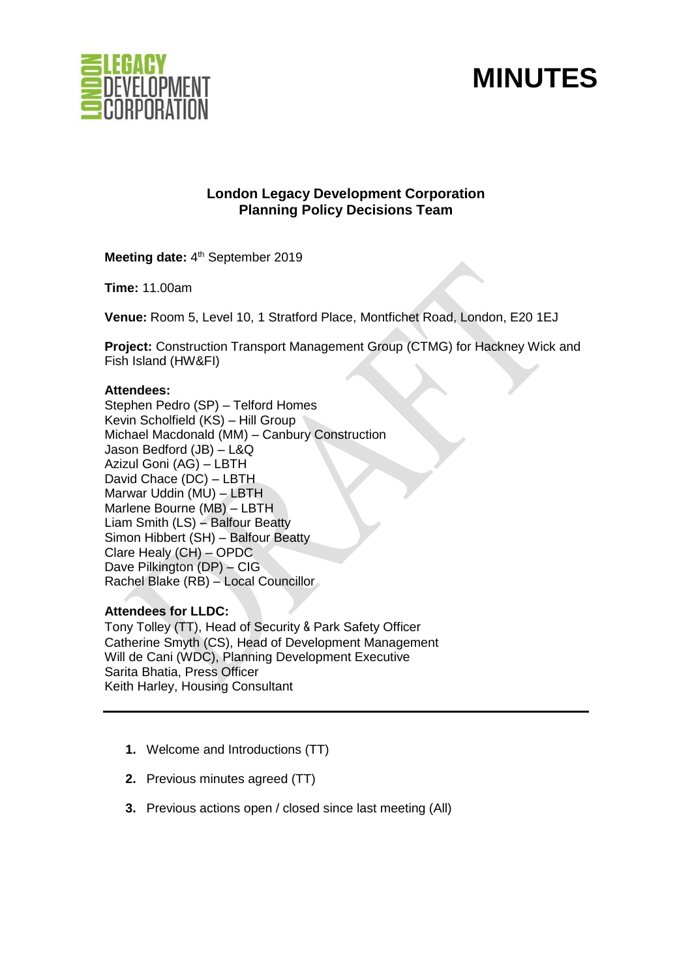



# **London Legacy Development Corporation Planning Policy Decisions Team**

Meeting date: 4<sup>th</sup> September 2019

**Time:** 11.00am

**Venue:** Room 5, Level 10, 1 Stratford Place, Montfichet Road, London, E20 1EJ

**Project:** Construction Transport Management Group (CTMG) for Hackney Wick and Fish Island (HW&FI)

### **Attendees:**

Stephen Pedro (SP) – Telford Homes Kevin Scholfield (KS) – Hill Group Michael Macdonald (MM) – Canbury Construction Jason Bedford (JB) – L&Q Azizul Goni (AG) – LBTH David Chace (DC) – LBTH Marwar Uddin (MU) – LBTH Marlene Bourne (MB) – LBTH Liam Smith (LS) – Balfour Beatty Simon Hibbert (SH) – Balfour Beatty Clare Healy (CH) – OPDC Dave Pilkington (DP) – CIG Rachel Blake (RB) – Local Councillor

### **Attendees for LLDC:**

Tony Tolley (TT), Head of Security & Park Safety Officer Catherine Smyth (CS), Head of Development Management Will de Cani (WDC), Planning Development Executive Sarita Bhatia, Press Officer Keith Harley, Housing Consultant

- **1.** Welcome and Introductions (TT)
- **2.** Previous minutes agreed (TT)
- **3.** Previous actions open / closed since last meeting (All)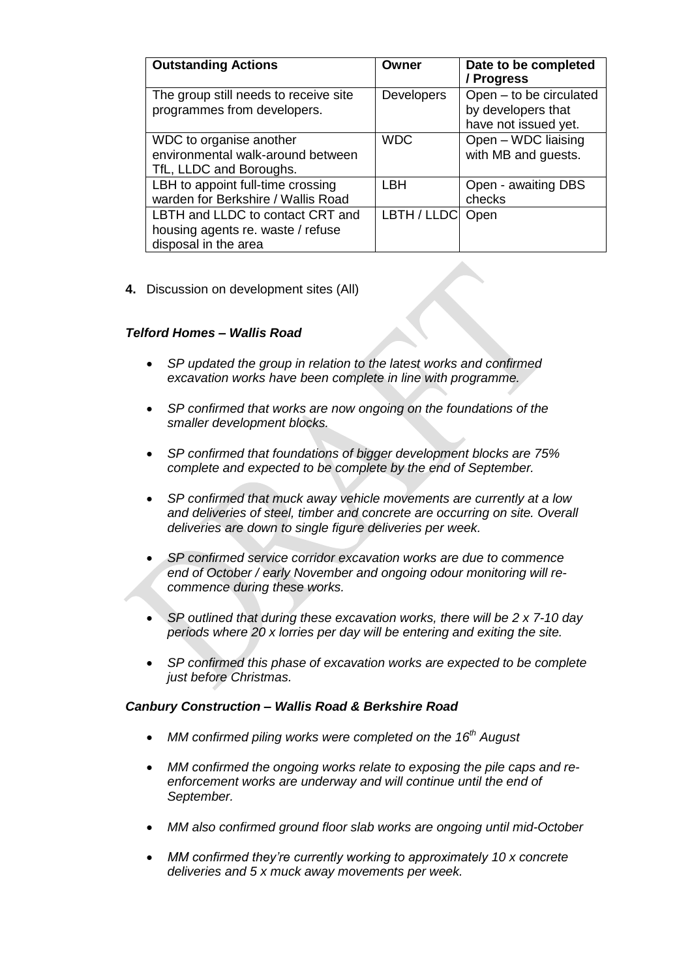| <b>Outstanding Actions</b>                                                                    | Owner             | Date to be completed<br>/ Progress                                    |
|-----------------------------------------------------------------------------------------------|-------------------|-----------------------------------------------------------------------|
| The group still needs to receive site<br>programmes from developers.                          | <b>Developers</b> | Open - to be circulated<br>by developers that<br>have not issued yet. |
| WDC to organise another<br>environmental walk-around between<br>TfL, LLDC and Boroughs.       | <b>WDC</b>        | Open - WDC liaising<br>with MB and guests.                            |
| LBH to appoint full-time crossing<br>warden for Berkshire / Wallis Road                       | LBH               | Open - awaiting DBS<br>checks                                         |
| LBTH and LLDC to contact CRT and<br>housing agents re. waste / refuse<br>disposal in the area | LBTH / LLDC       | Open                                                                  |

**4.** Discussion on development sites (All)

## *Telford Homes – Wallis Road*

- *SP updated the group in relation to the latest works and confirmed excavation works have been complete in line with programme.*
- *SP confirmed that works are now ongoing on the foundations of the smaller development blocks.*
- *SP confirmed that foundations of bigger development blocks are 75% complete and expected to be complete by the end of September.*
- *SP confirmed that muck away vehicle movements are currently at a low and deliveries of steel, timber and concrete are occurring on site. Overall deliveries are down to single figure deliveries per week.*
- *SP confirmed service corridor excavation works are due to commence end of October / early November and ongoing odour monitoring will recommence during these works.*
- *SP outlined that during these excavation works, there will be 2 x 7-10 day periods where 20 x lorries per day will be entering and exiting the site.*
- *SP confirmed this phase of excavation works are expected to be complete just before Christmas.*

### *Canbury Construction – Wallis Road & Berkshire Road*

- *MM confirmed piling works were completed on the 16th August*
- *MM confirmed the ongoing works relate to exposing the pile caps and reenforcement works are underway and will continue until the end of September.*
- *MM also confirmed ground floor slab works are ongoing until mid-October*
- *MM confirmed they're currently working to approximately 10 x concrete deliveries and 5 x muck away movements per week.*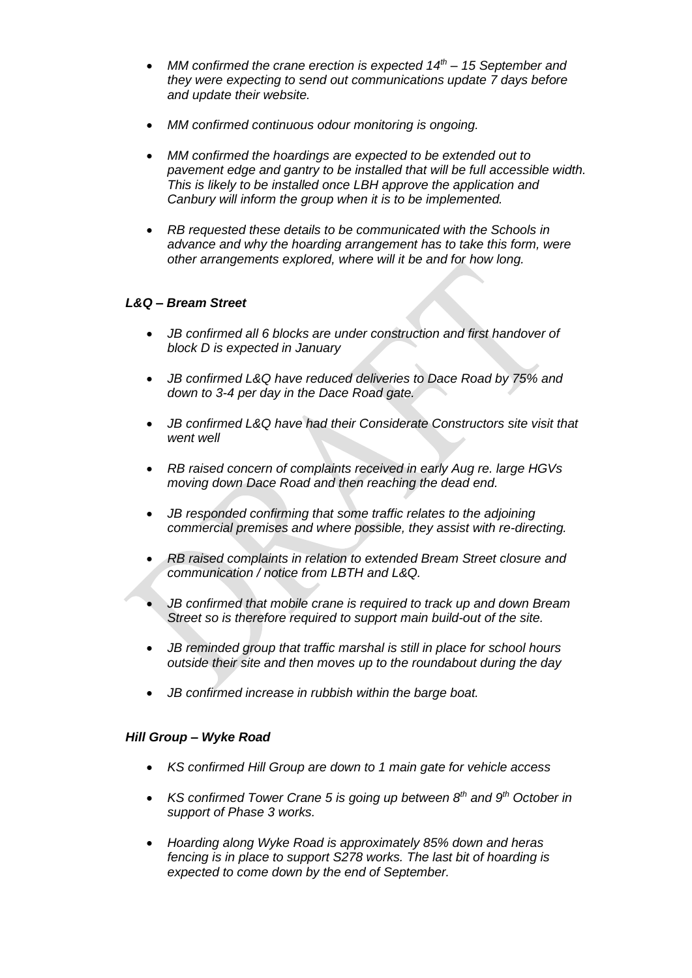- *MM confirmed the crane erection is expected 14th – 15 September and they were expecting to send out communications update 7 days before and update their website.*
- *MM confirmed continuous odour monitoring is ongoing.*
- *MM confirmed the hoardings are expected to be extended out to pavement edge and gantry to be installed that will be full accessible width. This is likely to be installed once LBH approve the application and Canbury will inform the group when it is to be implemented.*
- *RB requested these details to be communicated with the Schools in advance and why the hoarding arrangement has to take this form, were other arrangements explored, where will it be and for how long.*

## *L&Q – Bream Street*

- *JB confirmed all 6 blocks are under construction and first handover of block D is expected in January*
- *JB confirmed L&Q have reduced deliveries to Dace Road by 75% and down to 3-4 per day in the Dace Road gate.*
- *JB confirmed L&Q have had their Considerate Constructors site visit that went well*
- *RB raised concern of complaints received in early Aug re. large HGVs moving down Dace Road and then reaching the dead end.*
- *JB responded confirming that some traffic relates to the adjoining commercial premises and where possible, they assist with re-directing.*
- *RB raised complaints in relation to extended Bream Street closure and communication / notice from LBTH and L&Q.*
- *JB confirmed that mobile crane is required to track up and down Bream Street so is therefore required to support main build-out of the site.*
- *JB reminded group that traffic marshal is still in place for school hours outside their site and then moves up to the roundabout during the day*
- *JB confirmed increase in rubbish within the barge boat.*

### *Hill Group – Wyke Road*

- *KS confirmed Hill Group are down to 1 main gate for vehicle access*
- *KS confirmed Tower Crane 5 is going up between 8th and 9th October in support of Phase 3 works.*
- *Hoarding along Wyke Road is approximately 85% down and heras fencing is in place to support S278 works. The last bit of hoarding is expected to come down by the end of September.*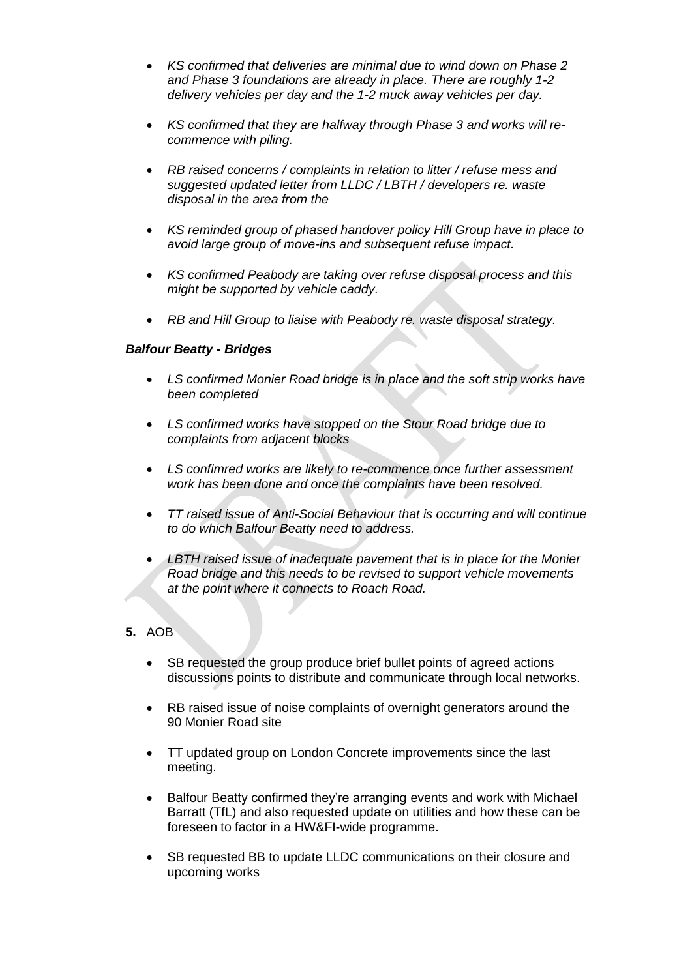- *KS confirmed that deliveries are minimal due to wind down on Phase 2 and Phase 3 foundations are already in place. There are roughly 1-2 delivery vehicles per day and the 1-2 muck away vehicles per day.*
- *KS confirmed that they are halfway through Phase 3 and works will recommence with piling.*
- *RB raised concerns / complaints in relation to litter / refuse mess and suggested updated letter from LLDC / LBTH / developers re. waste disposal in the area from the*
- *KS reminded group of phased handover policy Hill Group have in place to avoid large group of move-ins and subsequent refuse impact.*
- *KS confirmed Peabody are taking over refuse disposal process and this might be supported by vehicle caddy.*
- *RB and Hill Group to liaise with Peabody re. waste disposal strategy.*

#### *Balfour Beatty - Bridges*

- *LS confirmed Monier Road bridge is in place and the soft strip works have been completed*
- *LS confirmed works have stopped on the Stour Road bridge due to complaints from adjacent blocks*
- *LS confimred works are likely to re-commence once further assessment work has been done and once the complaints have been resolved.*
- *TT raised issue of Anti-Social Behaviour that is occurring and will continue to do which Balfour Beatty need to address.*
- *LBTH raised issue of inadequate pavement that is in place for the Monier Road bridge and this needs to be revised to support vehicle movements at the point where it connects to Roach Road.*

# **5.** AOB

- SB requested the group produce brief bullet points of agreed actions discussions points to distribute and communicate through local networks.
- RB raised issue of noise complaints of overnight generators around the 90 Monier Road site
- TT updated group on London Concrete improvements since the last meeting.
- Balfour Beatty confirmed they're arranging events and work with Michael Barratt (TfL) and also requested update on utilities and how these can be foreseen to factor in a HW&FI-wide programme.
- SB requested BB to update LLDC communications on their closure and upcoming works